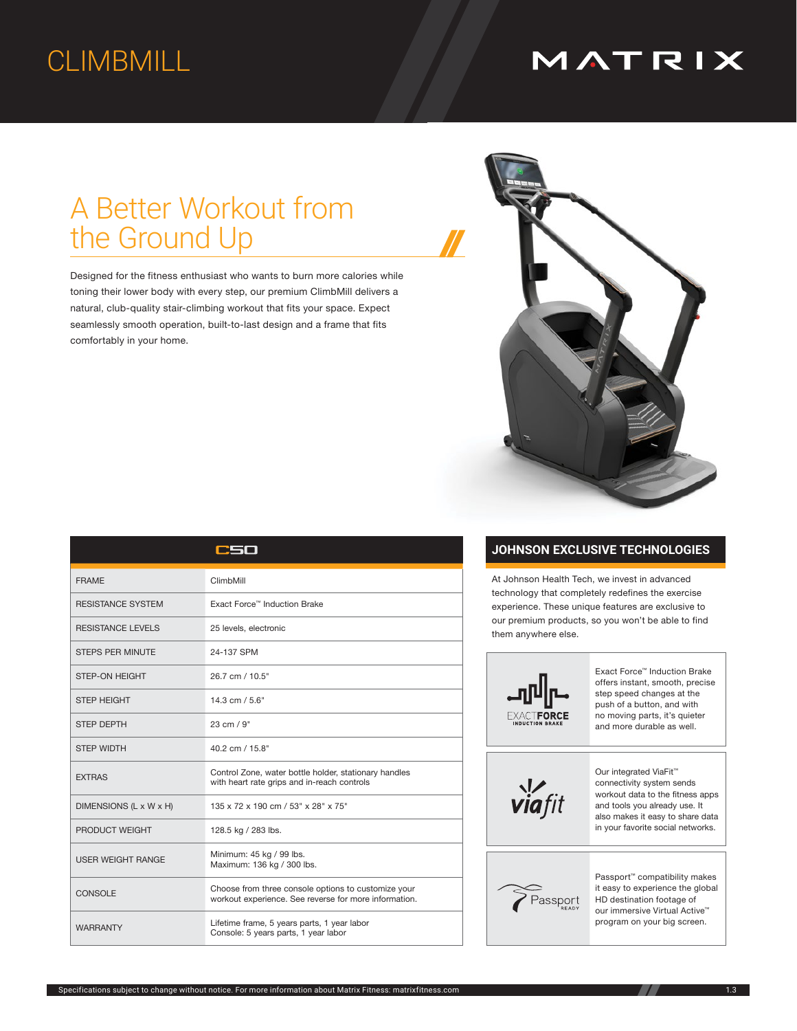# CLIMBMILL

## MATRIX

# A Better Workout from the Ground Up

Designed for the fitness enthusiast who wants to burn more calories while toning their lower body with every step, our premium ClimbMill delivers a natural, club-quality stair-climbing workout that fits your space. Expect seamlessly smooth operation, built-to-last design and a frame that fits comfortably in your home.



### **JOHNSON EXCLUSIVE TECHNOLOGIES**

At Johnson Health Tech, we invest in advanced technology that completely redefines the exercise experience. These unique features are exclusive to our premium products, so you won't be able to find them anywhere else.



| Our integrated ViaFit <sup>™</sup> |
|------------------------------------|
| connectivity system sends          |
| workout data to the fitness apps   |
| and tools you already use. It      |
| also makes it easv to share data   |

it easy to experience the global our immersive Virtual Active™ program on your big screen.

|                          | سصد                                                                                                          |  |  |
|--------------------------|--------------------------------------------------------------------------------------------------------------|--|--|
| <b>FRAME</b>             | ClimbMill                                                                                                    |  |  |
| <b>RESISTANCE SYSTEM</b> | Exact Force™ Induction Brake                                                                                 |  |  |
| <b>RESISTANCE LEVELS</b> | 25 levels, electronic                                                                                        |  |  |
| <b>STEPS PER MINUTE</b>  | 24-137 SPM                                                                                                   |  |  |
| <b>STEP-ON HEIGHT</b>    | 26.7 cm / 10.5"                                                                                              |  |  |
| <b>STEP HEIGHT</b>       | $14.3$ cm $/ 5.6"$                                                                                           |  |  |
| <b>STEP DEPTH</b>        | 23 cm / 9"                                                                                                   |  |  |
| <b>STEP WIDTH</b>        | 40.2 cm / 15.8"                                                                                              |  |  |
| <b>EXTRAS</b>            | Control Zone, water bottle holder, stationary handles<br>with heart rate grips and in-reach controls         |  |  |
| DIMENSIONS (L x W x H)   | 135 x 72 x 190 cm / 53" x 28" x 75"                                                                          |  |  |
| PRODUCT WEIGHT           | 128.5 kg / 283 lbs.                                                                                          |  |  |
| <b>USER WEIGHT RANGE</b> | Minimum: 45 kg / 99 lbs.<br>Maximum: 136 kg / 300 lbs.                                                       |  |  |
| <b>CONSOLE</b>           | Choose from three console options to customize your<br>workout experience. See reverse for more information. |  |  |
| <b>WARRANTY</b>          | Lifetime frame, 5 years parts, 1 year labor<br>Console: 5 years parts, 1 year labor                          |  |  |